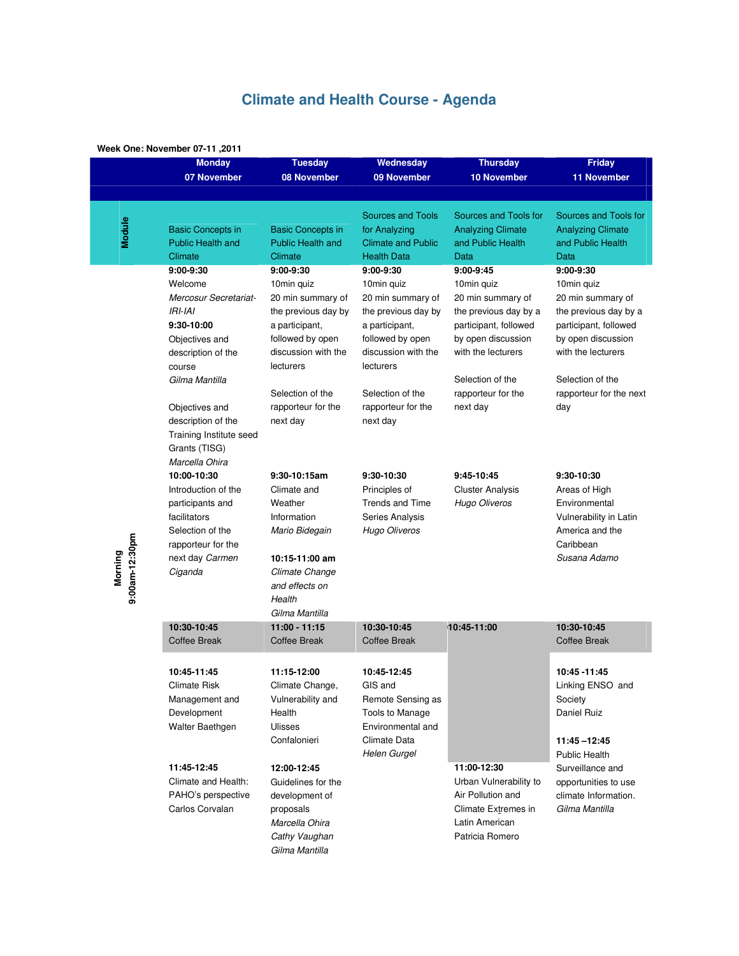# **Climate and Health Course - Agenda**

### **Week One: November 07-11 ,2011**

|                           | $\alpha$ is nover the $\alpha$ -rigger $\alpha$<br><b>Monday</b>                                                                                                                                                                   | <b>Tuesday</b>                                                                                                                                                                                        | Wednesday                                                                                                                                                                                             | <b>Thursday</b>                                                                                                                                                                                    | <b>Friday</b>                                                                                                                                                                                    |
|---------------------------|------------------------------------------------------------------------------------------------------------------------------------------------------------------------------------------------------------------------------------|-------------------------------------------------------------------------------------------------------------------------------------------------------------------------------------------------------|-------------------------------------------------------------------------------------------------------------------------------------------------------------------------------------------------------|----------------------------------------------------------------------------------------------------------------------------------------------------------------------------------------------------|--------------------------------------------------------------------------------------------------------------------------------------------------------------------------------------------------|
|                           | 07 November                                                                                                                                                                                                                        | 08 November                                                                                                                                                                                           | 09 November                                                                                                                                                                                           | <b>10 November</b>                                                                                                                                                                                 | <b>11 November</b>                                                                                                                                                                               |
|                           |                                                                                                                                                                                                                                    |                                                                                                                                                                                                       |                                                                                                                                                                                                       |                                                                                                                                                                                                    |                                                                                                                                                                                                  |
| Module                    | <b>Basic Concepts in</b><br><b>Public Health and</b><br>Climate                                                                                                                                                                    | <b>Basic Concepts in</b><br><b>Public Health and</b><br>Climate                                                                                                                                       | <b>Sources and Tools</b><br>for Analyzing<br><b>Climate and Public</b><br><b>Health Data</b>                                                                                                          | Sources and Tools for<br><b>Analyzing Climate</b><br>and Public Health<br>Data                                                                                                                     | Sources and Tools for<br><b>Analyzing Climate</b><br>and Public Health<br>Data                                                                                                                   |
| 9:00am-12:30pm<br>Morning | $9:00-9:30$<br>Welcome<br>Mercosur Secretariat-<br>$IRI-IAI$<br>9:30-10:00<br>Objectives and<br>description of the<br>course<br>Gilma Mantilla<br>Objectives and<br>description of the<br>Training Institute seed<br>Grants (TISG) | $9:00-9:30$<br>10min quiz<br>20 min summary of<br>the previous day by<br>a participant,<br>followed by open<br>discussion with the<br>lecturers<br>Selection of the<br>rapporteur for the<br>next day | $9:00-9:30$<br>10min quiz<br>20 min summary of<br>the previous day by<br>a participant,<br>followed by open<br>discussion with the<br>lecturers<br>Selection of the<br>rapporteur for the<br>next day | $9:00-9:45$<br>10min quiz<br>20 min summary of<br>the previous day by a<br>participant, followed<br>by open discussion<br>with the lecturers<br>Selection of the<br>rapporteur for the<br>next day | 9:00-9:30<br>10min quiz<br>20 min summary of<br>the previous day by a<br>participant, followed<br>by open discussion<br>with the lecturers<br>Selection of the<br>rapporteur for the next<br>day |
|                           | Marcella Ohira<br>10:00-10:30<br>Introduction of the<br>participants and<br>facilitators<br>Selection of the<br>rapporteur for the<br>next day Carmen<br>Ciganda                                                                   | 9:30-10:15am<br>Climate and<br>Weather<br>Information<br>Mario Bidegain<br>10:15-11:00 am<br>Climate Change<br>and effects on<br>Health<br>Gilma Mantilla                                             | $9:30-10:30$<br>Principles of<br>Trends and Time<br>Series Analysis<br>Hugo Oliveros                                                                                                                  | $9:45-10:45$<br><b>Cluster Analysis</b><br><b>Hugo Oliveros</b>                                                                                                                                    | 9:30-10:30<br>Areas of High<br>Environmental<br>Vulnerability in Latin<br>America and the<br>Caribbean<br>Susana Adamo                                                                           |
|                           | 10:30-10:45<br><b>Coffee Break</b>                                                                                                                                                                                                 | $11:00 - 11:15$<br><b>Coffee Break</b>                                                                                                                                                                | 10:30-10:45<br>Coffee Break                                                                                                                                                                           | 10:45-11:00                                                                                                                                                                                        | 10:30-10:45<br>Coffee Break                                                                                                                                                                      |
|                           | 10:45-11:45<br><b>Climate Risk</b><br>Management and<br>Development<br>Walter Baethgen                                                                                                                                             | 11:15-12:00<br>Climate Change,<br>Vulnerability and<br>Health<br><b>Ulisses</b><br>Confalonieri                                                                                                       | 10:45-12:45<br>GIS and<br>Remote Sensing as<br>Tools to Manage<br>Environmental and<br>Climate Data<br><b>Helen Gurgel</b>                                                                            |                                                                                                                                                                                                    | 10:45 - 11:45<br>Linking ENSO and<br>Society<br>Daniel Ruiz<br>$11:45 - 12:45$<br><b>Public Health</b>                                                                                           |
|                           | 11:45-12:45<br>Climate and Health:<br>PAHO's perspective<br>Carlos Corvalan                                                                                                                                                        | 12:00-12:45<br>Guidelines for the<br>development of<br>proposals<br>Marcella Ohira<br>Cathy Vaughan<br>Gilma Mantilla                                                                                 |                                                                                                                                                                                                       | 11:00-12:30<br>Urban Vulnerability to<br>Air Pollution and<br>Climate Extremes in<br>Latin American<br>Patricia Romero                                                                             | Surveillance and<br>opportunities to use<br>climate Information.<br>Gilma Mantilla                                                                                                               |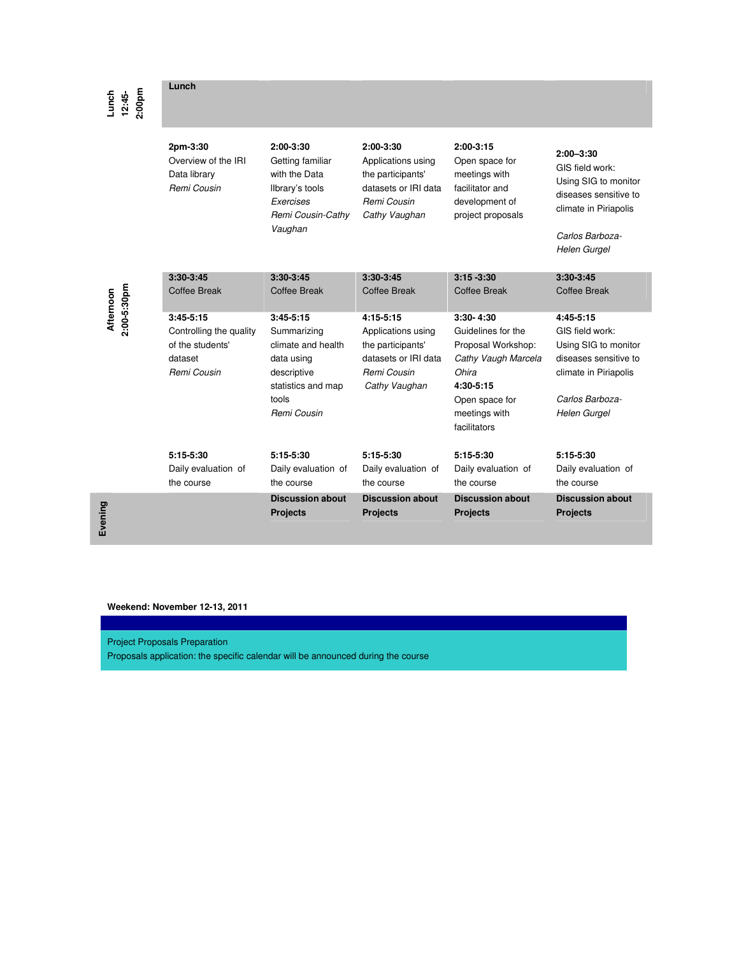**Lunch** 

**Lunch 12:45- 2:00pm** 

**Afternoon 2:00-5:30pm** 

**Evening** 

| 2pm-3:30<br>Overview of the IRI<br>Data library<br>Remi Cousin                       | $2:00-3:30$<br>Getting familiar<br>with the Data<br>Ilbrary's tools<br>Exercises<br>Remi Cousin-Cathy<br>Vaughan            | $2:00-3:30$<br>Applications using<br>the participants'<br>datasets or IRI data<br>Remi Cousin<br>Cathy Vaughan | $2:00-3:15$<br>Open space for<br>meetings with<br>facilitator and<br>development of<br>project proposals                                                    | $2:00 - 3:30$<br>GIS field work:<br>Using SIG to monitor<br>diseases sensitive to<br>climate in Piriapolis<br>Carlos Barboza-<br><b>Helen Gurgel</b> |
|--------------------------------------------------------------------------------------|-----------------------------------------------------------------------------------------------------------------------------|----------------------------------------------------------------------------------------------------------------|-------------------------------------------------------------------------------------------------------------------------------------------------------------|------------------------------------------------------------------------------------------------------------------------------------------------------|
| $3:30-3:45$                                                                          | $3:30-3:45$                                                                                                                 | $3:30-3:45$                                                                                                    | $3:15 - 3:30$                                                                                                                                               | $3:30-3:45$                                                                                                                                          |
| Coffee Break                                                                         | Coffee Break                                                                                                                | Coffee Break                                                                                                   | Coffee Break                                                                                                                                                | Coffee Break                                                                                                                                         |
| $3:45-5:15$<br>Controlling the quality<br>of the students'<br>dataset<br>Remi Cousin | $3:45-5:15$<br>Summarizing<br>climate and health<br>data using<br>descriptive<br>statistics and map<br>tools<br>Remi Cousin | $4:15-5:15$<br>Applications using<br>the participants'<br>datasets or IRI data<br>Remi Cousin<br>Cathy Vaughan | $3:30 - 4:30$<br>Guidelines for the<br>Proposal Workshop:<br>Cathy Vaugh Marcela<br>Ohira<br>$4:30-5:15$<br>Open space for<br>meetings with<br>facilitators | $4:45-5:15$<br>GIS field work:<br>Using SIG to monitor<br>diseases sensitive to<br>climate in Piriapolis<br>Carlos Barboza-<br>Helen Gurgel          |
| $5:15-5:30$                                                                          | $5:15-5:30$                                                                                                                 | $5:15-5:30$                                                                                                    | $5:15-5:30$                                                                                                                                                 | 5:15-5:30                                                                                                                                            |
| Daily evaluation of                                                                  | Daily evaluation of                                                                                                         | Daily evaluation of                                                                                            | Daily evaluation of                                                                                                                                         | Daily evaluation of                                                                                                                                  |
| the course                                                                           | the course                                                                                                                  | the course                                                                                                     | the course                                                                                                                                                  | the course                                                                                                                                           |
|                                                                                      | <b>Discussion about</b>                                                                                                     | <b>Discussion about</b>                                                                                        | <b>Discussion about</b>                                                                                                                                     | <b>Discussion about</b>                                                                                                                              |
|                                                                                      | <b>Projects</b>                                                                                                             | <b>Projects</b>                                                                                                | <b>Projects</b>                                                                                                                                             | <b>Projects</b>                                                                                                                                      |

## **Weekend: November 12-13, 2011**

Project Proposals Preparation

Proposals application: the specific calendar will be announced during the course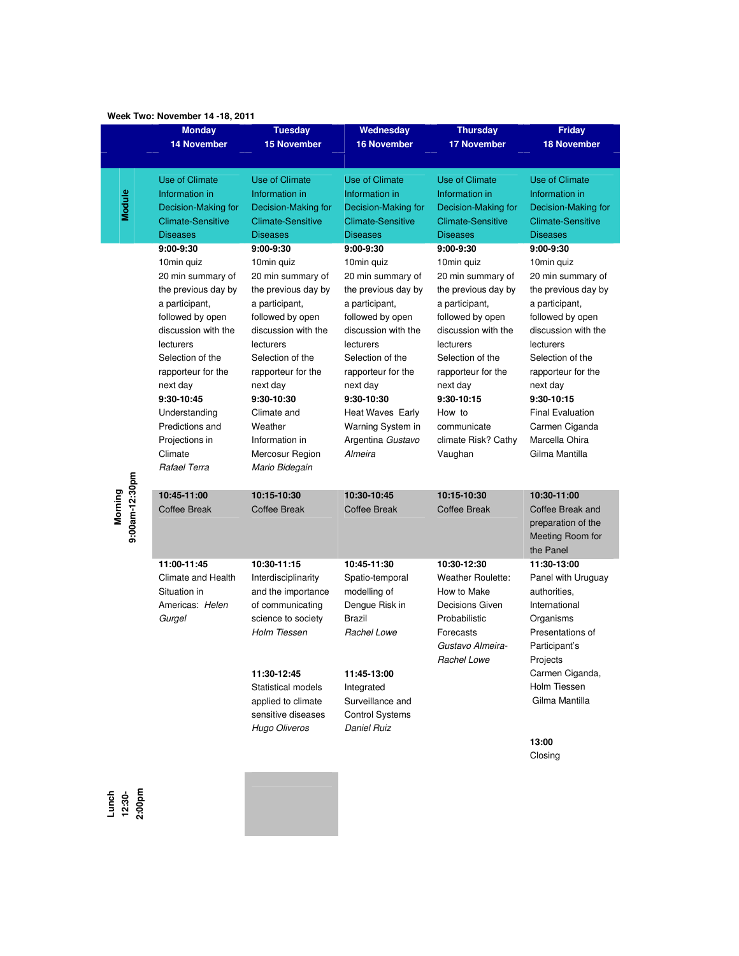|                | <b>Monday</b>            | <b>Tuesday</b>           | Wednesday                | <b>Thursday</b>          | <b>Friday</b>            |
|----------------|--------------------------|--------------------------|--------------------------|--------------------------|--------------------------|
|                | <b>14 November</b>       | <b>15 November</b>       | <b>16 November</b>       | <b>17 November</b>       | <b>18 November</b>       |
|                |                          |                          |                          |                          |                          |
|                |                          |                          |                          |                          |                          |
|                | <b>Use of Climate</b>    | Use of Climate           | <b>Use of Climate</b>    | <b>Use of Climate</b>    | Use of Climate           |
|                | Information in           | Information in           | Information in           | Information in           | Information in           |
| Module         | Decision-Making for      | Decision-Making for      | Decision-Making for      | Decision-Making for      | Decision-Making for      |
|                | <b>Climate-Sensitive</b> | <b>Climate-Sensitive</b> | <b>Climate-Sensitive</b> | <b>Climate-Sensitive</b> | <b>Climate-Sensitive</b> |
|                | <b>Diseases</b>          | <b>Diseases</b>          | <b>Diseases</b>          | <b>Diseases</b>          | <b>Diseases</b>          |
|                | 9:00-9:30                | $9:00-9:30$              | $9:00-9:30$              | 9:00-9:30                | 9:00-9:30                |
|                | 10min quiz               | 10min quiz               | 10min quiz               | 10min quiz               | 10min quiz               |
|                | 20 min summary of        | 20 min summary of        | 20 min summary of        | 20 min summary of        | 20 min summary of        |
|                | the previous day by      | the previous day by      | the previous day by      | the previous day by      | the previous day by      |
|                | a participant,           | a participant,           | a participant,           | a participant,           | a participant,           |
|                | followed by open         | followed by open         | followed by open         | followed by open         | followed by open         |
|                | discussion with the      | discussion with the      | discussion with the      | discussion with the      | discussion with the      |
|                | lecturers                | lecturers                | lecturers                | lecturers                | lecturers                |
|                | Selection of the         | Selection of the         | Selection of the         | Selection of the         | Selection of the         |
|                | rapporteur for the       | rapporteur for the       | rapporteur for the       | rapporteur for the       | rapporteur for the       |
|                | next day                 | next day                 | next day                 | next day                 | next day                 |
|                | 9:30-10:45               | 9:30-10:30               | 9:30-10:30               | 9:30-10:15               | 9:30-10:15               |
|                | Understanding            | Climate and              | Heat Waves Early         | How to                   | <b>Final Evaluation</b>  |
|                | Predictions and          | Weather                  | Warning System in        | communicate              | Carmen Ciganda           |
|                | Projections in           | Information in           | Argentina Gustavo        | climate Risk? Cathy      | Marcella Ohira           |
|                | Climate                  | Mercosur Region          | Almeira                  | Vaughan                  | Gilma Mantilla           |
|                | Rafael Terra             | Mario Bidegain           |                          |                          |                          |
| 9:00am-12:30pm |                          |                          |                          |                          |                          |
| Morning        | 10:45-11:00              | 10:15-10:30              | 10:30-10:45              | 10:15-10:30              | 10:30-11:00              |
|                | <b>Coffee Break</b>      | <b>Coffee Break</b>      | <b>Coffee Break</b>      | <b>Coffee Break</b>      | Coffee Break and         |
|                |                          |                          |                          |                          | preparation of the       |
|                |                          |                          |                          |                          | Meeting Room for         |
|                |                          |                          |                          |                          | the Panel                |
|                | 11:00-11:45              | 10:30-11:15              | 10:45-11:30              | 10:30-12:30              | 11:30-13:00              |
|                | Climate and Health       | Interdisciplinarity      | Spatio-temporal          | <b>Weather Roulette:</b> | Panel with Uruguay       |
|                | Situation in             | and the importance       | modelling of             | How to Make              | authorities.             |
|                | Americas: Helen          | of communicating         | Dengue Risk in           | Decisions Given          | International            |
|                | Gurgel                   | science to society       | Brazil                   | Probabilistic            | Organisms                |
|                |                          | <b>Holm Tiessen</b>      | Rachel Lowe              | Forecasts                | Presentations of         |
|                |                          |                          |                          | Gustavo Almeira-         | Participant's            |
|                |                          |                          |                          | Rachel Lowe              | Projects                 |
|                |                          | 11:30-12:45              | 11:45-13:00              |                          | Carmen Ciganda,          |
|                |                          | Statistical models       | Integrated               |                          | Holm Tiessen             |
|                |                          | applied to climate       | Surveillance and         |                          | Gilma Mantilla           |
|                |                          | sensitive diseases       | <b>Control Systems</b>   |                          |                          |
|                |                          | <b>Hugo Oliveros</b>     | <b>Daniel Ruiz</b>       |                          |                          |
|                |                          |                          |                          |                          | 13:00                    |
|                |                          |                          |                          |                          | Closing                  |
|                |                          |                          |                          |                          |                          |

## **Week Two: November 14 -18, 2011**